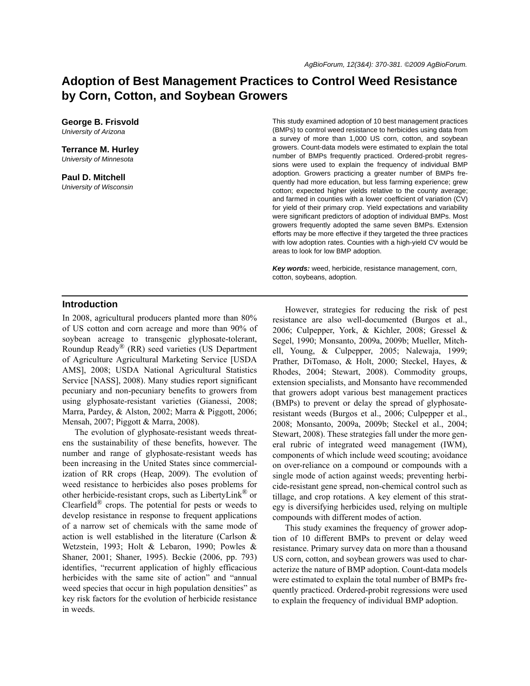# **Adoption of Best Management Practices to Control Weed Resistance by Corn, Cotton, and Soybean Growers**

**George B. Frisvold** *University of Arizona*

**Terrance M. Hurley** *University of Minnesota*

**Paul D. Mitchell** *University of Wisconsin* This study examined adoption of 10 best management practices (BMPs) to control weed resistance to herbicides using data from a survey of more than 1,000 US corn, cotton, and soybean growers. Count-data models were estimated to explain the total number of BMPs frequently practiced. Ordered-probit regressions were used to explain the frequency of individual BMP adoption. Growers practicing a greater number of BMPs frequently had more education, but less farming experience; grew cotton; expected higher yields relative to the county average; and farmed in counties with a lower coefficient of variation (CV) for yield of their primary crop. Yield expectations and variability were significant predictors of adoption of individual BMPs. Most growers frequently adopted the same seven BMPs. Extension efforts may be more effective if they targeted the three practices with low adoption rates. Counties with a high-yield CV would be areas to look for low BMP adoption.

*Key words:* weed, herbicide, resistance management, corn, cotton, soybeans, adoption.

### **Introduction**

In 2008, agricultural producers planted more than 80% of US cotton and corn acreage and more than 90% of soybean acreage to transgenic glyphosate-tolerant, Roundup Ready® (RR) seed varieties (US Department of Agriculture Agricultural Marketing Service [USDA AMS], 2008; USDA National Agricultural Statistics Service [NASS], 2008). Many studies report significant pecuniary and non-pecuniary benefits to growers from using glyphosate-resistant varieties (Gianessi, 2008; Marra, Pardey, & Alston, 2002; Marra & Piggott, 2006; Mensah, 2007; Piggott & Marra, 2008).

The evolution of glyphosate-resistant weeds threatens the sustainability of these benefits, however. The number and range of glyphosate-resistant weeds has been increasing in the United States since commercialization of RR crops (Heap, 2009). The evolution of weed resistance to herbicides also poses problems for other herbicide-resistant crops, such as LibertyLink® or Clearfield $^{\circledR}$  crops. The potential for pests or weeds to develop resistance in response to frequent applications of a narrow set of chemicals with the same mode of action is well established in the literature (Carlson & Wetzstein, 1993; Holt & Lebaron, 1990; Powles & Shaner, 2001; Shaner, 1995). Beckie (2006, pp. 793) identifies, "recurrent application of highly efficacious herbicides with the same site of action" and "annual weed species that occur in high population densities" as key risk factors for the evolution of herbicide resistance in weeds.

However, strategies for reducing the risk of pest resistance are also well-documented (Burgos et al., 2006; Culpepper, York, & Kichler, 2008; Gressel & Segel, 1990; Monsanto, 2009a, 2009b; Mueller, Mitchell, Young, & Culpepper, 2005; Nalewaja, 1999; Prather, DiTomaso, & Holt, 2000; Steckel, Hayes, & Rhodes, 2004; Stewart, 2008). Commodity groups, extension specialists, and Monsanto have recommended that growers adopt various best management practices (BMPs) to prevent or delay the spread of glyphosateresistant weeds (Burgos et al., 2006; Culpepper et al., 2008; Monsanto, 2009a, 2009b; Steckel et al., 2004; Stewart, 2008). These strategies fall under the more general rubric of integrated weed management (IWM), components of which include weed scouting; avoidance on over-reliance on a compound or compounds with a single mode of action against weeds; preventing herbicide-resistant gene spread, non-chemical control such as tillage, and crop rotations. A key element of this strategy is diversifying herbicides used, relying on multiple compounds with different modes of action.

This study examines the frequency of grower adoption of 10 different BMPs to prevent or delay weed resistance. Primary survey data on more than a thousand US corn, cotton, and soybean growers was used to characterize the nature of BMP adoption. Count-data models were estimated to explain the total number of BMPs frequently practiced. Ordered-probit regressions were used to explain the frequency of individual BMP adoption.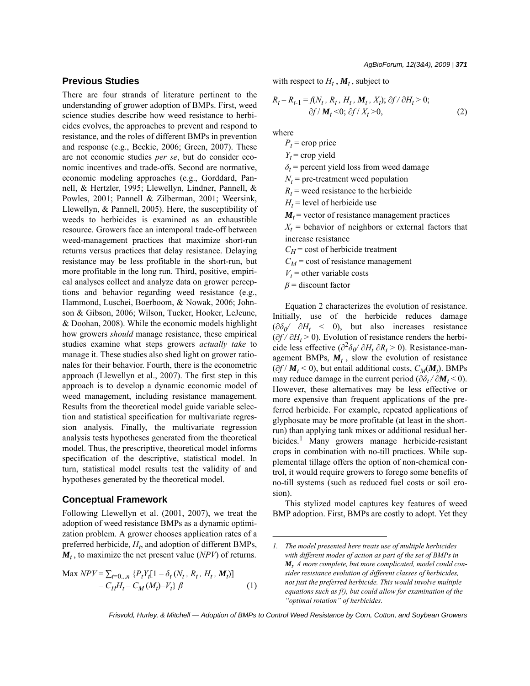### **Previous Studies**

There are four strands of literature pertinent to the understanding of grower adoption of BMPs. First, weed science studies describe how weed resistance to herbicides evolves, the approaches to prevent and respond to resistance, and the roles of different BMPs in prevention and response (e.g., Beckie, 2006; Green, 2007). These are not economic studies *per se*, but do consider economic incentives and trade-offs. Second are normative, economic modeling approaches (e.g., Gorddard, Pannell, & Hertzler, 1995; Llewellyn, Lindner, Pannell, & Powles, 2001; Pannell & Zilberman, 2001; Weersink, Llewellyn, & Pannell, 2005). Here, the susceptibility of weeds to herbicides is examined as an exhaustible resource. Growers face an intemporal trade-off between weed-management practices that maximize short-run returns versus practices that delay resistance. Delaying resistance may be less profitable in the short-run, but more profitable in the long run. Third, positive, empirical analyses collect and analyze data on grower perceptions and behavior regarding weed resistance (e.g., Hammond, Luschei, Boerboom, & Nowak, 2006; Johnson & Gibson, 2006; Wilson, Tucker, Hooker, LeJeune, & Doohan, 2008). While the economic models highlight how growers *should* manage resistance, these empirical studies examine what steps growers *actually take* to manage it. These studies also shed light on grower rationales for their behavior. Fourth, there is the econometric approach (Llewellyn et al., 2007). The first step in this approach is to develop a dynamic economic model of weed management, including resistance management. Results from the theoretical model guide variable selection and statistical specification for multivariate regression analysis. Finally, the multivariate regression analysis tests hypotheses generated from the theoretical model. Thus, the prescriptive, theoretical model informs specification of the descriptive, statistical model. In turn, statistical model results test the validity of and hypotheses generated by the theoretical model.

### **Conceptual Framework**

Following Llewellyn et al. (2001, 2007), we treat the adoption of weed resistance BMPs as a dynamic optimization problem. A grower chooses application rates of a preferred herbicide,  $H_t$ , and adoption of different BMPs,  $M_t$ , to maximize the net present value (*NPV*) of returns.

$$
\begin{aligned} \text{Max } NPV &= \sum_{t=0...n} \{ P_t Y_t [1 - \delta_t \left( N_t, R_t, H_t, M_t \right) ] \\ &- C_H H_t - C_M \left( M_t \right) - V_t \} \, \beta \end{aligned} \tag{1}
$$

with respect to  $H_t$ ,  $M_t$ , subject to

$$
R_t - R_{t-1} = f(N_t, R_t, H_t, M_t, X_t); \partial f / \partial H_t > 0; \partial f / M_t < 0; \partial f / X_t > 0,
$$
\n(2)

where

 $P_t$  = crop price

 $Y_t$  = crop yield

 $\delta$ <sup>*t*</sup> = percent yield loss from weed damage

 $N_t$  = pre-treatment weed population

 $R_t$  = weed resistance to the herbicide

 $H_t$  = level of herbicide use

 $M_t$  = vector of resistance management practices

 $X_t$  = behavior of neighbors or external factors that increase resistance

 $C_H$  = cost of herbicide treatment

 $C_M$  = cost of resistance management

 $V_t$  = other variable costs

*β* = discount factor

Equation 2 characterizes the evolution of resistance. Initially, use of the herbicide reduces damage  $(\partial \delta_0 / \partial H_t \leq 0)$ , but also increases resistance  $(\partial f / \partial H_t > 0)$ . Evolution of resistance renders the herbicide less effective  $\left(\frac{\partial^2 \delta_0}{\partial H_t} \frac{\partial R_t}{\partial R_t}\right)$  Resistance-management BMPs,  $M_t$ , slow the evolution of resistance  $(\partial f / M_t \le 0)$ , but entail additional costs,  $C_M(M_t)$ . BMPs may reduce damage in the current period ( $\partial \delta_t / \partial M_t < 0$ ). However, these alternatives may be less effective or more expensive than frequent applications of the preferred herbicide. For example, repeated applications of glyphosate may be more profitable (at least in the shortrun) than applying tank mixes or additional residual herbicides.<sup>1</sup> Many growers manage herbicide-resistant crops in combination with no-till practices. While supplemental tillage offers the option of non-chemical control, it would require growers to forego some benefits of no-till systems (such as reduced fuel costs or soil erosion).

This stylized model captures key features of weed BMP adoption. First, BMPs are costly to adopt. Yet they

*<sup>1.</sup> The model presented here treats use of multiple herbicides with different modes of action as part of the set of BMPs in Mt . A more complete, but more complicated, model could consider resistance evolution of different classes of herbicides, not just the preferred herbicide. This would involve multiple equations such as f(), but could allow for examination of the "optimal rotation" of herbicides.*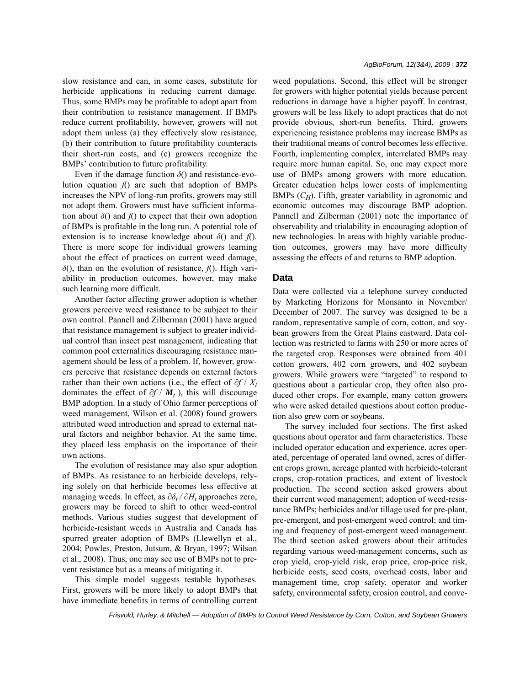slow resistance and can, in some cases, substitute for herbicide applications in reducing current damage. Thus, some BMPs may be profitable to adopt apart from their contribution to resistance management. If BMPs reduce current profitability, however, growers will not adopt them unless (a) they effectively slow resistance, (b) their contribution to future profitability counteracts their short-run costs, and (c) growers recognize the BMPs' contribution to future profitability.

Even if the damage function  $\delta$ () and resistance-evolution equation  $f()$  are such that adoption of BMPs increases the NPV of long-run profits, growers may still not adopt them. Growers must have sufficient information about  $\delta$ () and  $f$ ) to expect that their own adoption of BMPs is profitable in the long run. A potential role of extension is to increase knowledge about  $\delta$ () and *f*(). There is more scope for individual growers learning about the effect of practices on current weed damage, *δ*(), than on the evolution of resistance, *f*(). High variability in production outcomes, however, may make such learning more difficult.

Another factor affecting grower adoption is whether growers perceive weed resistance to be subject to their own control. Pannell and Zilberman (2001) have argued that resistance management is subject to greater individual control than insect pest management, indicating that common pool externalities discouraging resistance management should be less of a problem. If, however, growers perceive that resistance depends on external factors rather than their own actions (i.e., the effect of  $\partial f / X_t$ dominates the effect of ∂*f* / *Mt* ), this will discourage BMP adoption. In a study of Ohio farmer perceptions of weed management, Wilson et al. (2008) found growers attributed weed introduction and spread to external natural factors and neighbor behavior. At the same time, they placed less emphasis on the importance of their own actions.

The evolution of resistance may also spur adoption of BMPs. As resistance to an herbicide develops, relying solely on that herbicide becomes less effective at managing weeds. In effect, as  $\partial \delta_t / \partial H_t$  approaches zero, growers may be forced to shift to other weed-control methods. Various studies suggest that development of herbicide-resistant weeds in Australia and Canada has spurred greater adoption of BMPs (Llewellyn et al., 2004; Powles, Preston, Jutsum, & Bryan, 1997; Wilson et al., 2008). Thus, one may see use of BMPs not to prevent resistance but as a means of mitigating it.

This simple model suggests testable hypotheses. First, growers will be more likely to adopt BMPs that have immediate benefits in terms of controlling current weed populations. Second, this effect will be stronger for growers with higher potential yields because percent reductions in damage have a higher payoff. In contrast, growers will be less likely to adopt practices that do not provide obvious, short-run benefits. Third, growers experiencing resistance problems may increase BMPs as their traditional means of control becomes less effective. Fourth, implementing complex, interrelated BMPs may require more human capital. So, one may expect more use of BMPs among growers with more education. Greater education helps lower costs of implementing BMPs (*C<sub>H</sub>*). Fifth, greater variability in agronomic and economic outcomes may discourage BMP adoption. Pannell and Zilberman (2001) note the importance of observability and trialability in encouraging adoption of new technologies. In areas with highly variable production outcomes, growers may have more difficulty assessing the effects of and returns to BMP adoption.

#### **Data**

Data were collected via a telephone survey conducted by Marketing Horizons for Monsanto in November/ December of 2007. The survey was designed to be a random, representative sample of corn, cotton, and soybean growers from the Great Plains eastward. Data collection was restricted to farms with 250 or more acres of the targeted crop. Responses were obtained from 401 cotton growers, 402 corn growers, and 402 soybean growers. While growers were "targeted" to respond to questions about a particular crop, they often also produced other crops. For example, many cotton growers who were asked detailed questions about cotton production also grew corn or soybeans.

The survey included four sections. The first asked questions about operator and farm characteristics. These included operator education and experience, acres operated, percentage of operated land owned, acres of different crops grown, acreage planted with herbicide-tolerant crops, crop-rotation practices, and extent of livestock production. The second section asked growers about their current weed management; adoption of weed-resistance BMPs; herbicides and/or tillage used for pre-plant, pre-emergent, and post-emergent weed control; and timing and frequency of post-emergent weed management. The third section asked growers about their attitudes regarding various weed-management concerns, such as crop yield, crop-yield risk, crop price, crop-price risk, herbicide costs, seed costs, overhead costs, labor and management time, crop safety, operator and worker safety, environmental safety, erosion control, and conve-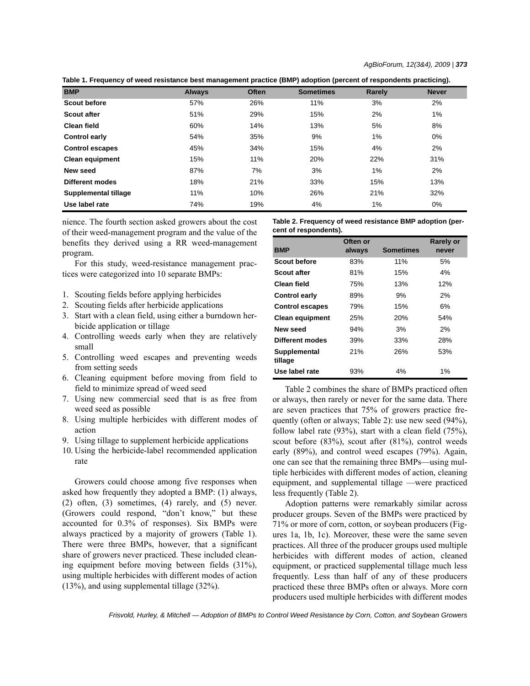**Table 1. Frequency of weed resistance best management practice (BMP) adoption (percent of respondents practicing).**

| <b>BMP</b>             | <b>Always</b> | <b>Often</b> | <b>Sometimes</b> | Rarely | <b>Never</b> |
|------------------------|---------------|--------------|------------------|--------|--------------|
| <b>Scout before</b>    | 57%           | 26%          | 11%              | 3%     | 2%           |
| <b>Scout after</b>     | 51%           | 29%          | 15%              | 2%     | 1%           |
| <b>Clean field</b>     | 60%           | 14%          | 13%              | 5%     | 8%           |
| <b>Control early</b>   | 54%           | 35%          | 9%               | 1%     | 0%           |
| <b>Control escapes</b> | 45%           | 34%          | 15%              | 4%     | 2%           |
| <b>Clean equipment</b> | 15%           | 11%          | 20%              | 22%    | 31%          |
| New seed               | 87%           | 7%           | 3%               | 1%     | 2%           |
| Different modes        | 18%           | 21%          | 33%              | 15%    | 13%          |
| Supplemental tillage   | 11%           | 10%          | 26%              | 21%    | 32%          |
| Use label rate         | 74%           | 19%          | 4%               | 1%     | 0%           |

nience. The fourth section asked growers about the cost of their weed-management program and the value of the benefits they derived using a RR weed-management program.

For this study, weed-resistance management practices were categorized into 10 separate BMPs:

- 1. Scouting fields before applying herbicides
- 2. Scouting fields after herbicide applications
- 3. Start with a clean field, using either a burndown herbicide application or tillage
- 4. Controlling weeds early when they are relatively small
- 5. Controlling weed escapes and preventing weeds from setting seeds
- 6. Cleaning equipment before moving from field to field to minimize spread of weed seed
- 7. Using new commercial seed that is as free from weed seed as possible
- 8. Using multiple herbicides with different modes of action
- 9. Using tillage to supplement herbicide applications
- 10. Using the herbicide-label recommended application rate

Growers could choose among five responses when asked how frequently they adopted a BMP: (1) always, (2) often, (3) sometimes, (4) rarely, and (5) never. (Growers could respond, "don't know," but these accounted for 0.3% of responses). Six BMPs were always practiced by a majority of growers (Table 1). There were three BMPs, however, that a significant share of growers never practiced. These included cleaning equipment before moving between fields (31%), using multiple herbicides with different modes of action (13%), and using supplemental tillage (32%).

**Table 2. Frequency of weed resistance BMP adoption (percent of respondents).**

|                         | Often or |                  | <b>Rarely or</b> |
|-------------------------|----------|------------------|------------------|
| <b>BMP</b>              | always   | <b>Sometimes</b> | never            |
| <b>Scout before</b>     | 83%      | 11%              | 5%               |
| <b>Scout after</b>      | 81%      | 15%              | $4\%$            |
| Clean field             | 75%      | 13%              | 12%              |
| Control early           | 89%      | 9%               | 2%               |
| <b>Control escapes</b>  | 79%      | 15%              | 6%               |
| <b>Clean equipment</b>  | 25%      | 20%              | 54%              |
| New seed                | 94%      | 3%               | 2%               |
| Different modes         | 39%      | 33%              | 28%              |
| Supplemental<br>tillage | 21%      | 26%              | 53%              |
| Use label rate          | 93%      | 4%               | 1%               |

Table 2 combines the share of BMPs practiced often or always, then rarely or never for the same data. There are seven practices that 75% of growers practice frequently (often or always; Table 2): use new seed (94%), follow label rate (93%), start with a clean field (75%), scout before (83%), scout after (81%), control weeds early (89%), and control weed escapes (79%). Again, one can see that the remaining three BMPs—using multiple herbicides with different modes of action, cleaning equipment, and supplemental tillage —were practiced less frequently (Table 2).

Adoption patterns were remarkably similar across producer groups. Seven of the BMPs were practiced by 71% or more of corn, cotton, or soybean producers (Figures 1a, 1b, 1c). Moreover, these were the same seven practices. All three of the producer groups used multiple herbicides with different modes of action, cleaned equipment, or practiced supplemental tillage much less frequently. Less than half of any of these producers practiced these three BMPs often or always. More corn producers used multiple herbicides with different modes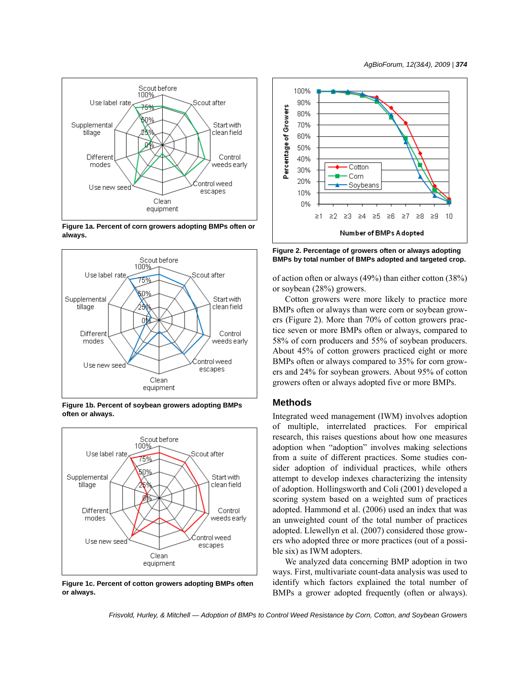

**Figure 1a. Percent of corn growers adopting BMPs often or always.**



**Figure 1b. Percent of soybean growers adopting BMPs often or always.**



**Figure 1c. Percent of cotton growers adopting BMPs often or always.**



**Figure 2. Percentage of growers often or always adopting BMPs by total number of BMPs adopted and targeted crop.**

of action often or always (49%) than either cotton (38%) or soybean (28%) growers.

Cotton growers were more likely to practice more BMPs often or always than were corn or soybean growers (Figure 2). More than 70% of cotton growers practice seven or more BMPs often or always, compared to 58% of corn producers and 55% of soybean producers. About 45% of cotton growers practiced eight or more BMPs often or always compared to 35% for corn growers and 24% for soybean growers. About 95% of cotton growers often or always adopted five or more BMPs.

#### **Methods**

Integrated weed management (IWM) involves adoption of multiple, interrelated practices. For empirical research, this raises questions about how one measures adoption when "adoption" involves making selections from a suite of different practices. Some studies consider adoption of individual practices, while others attempt to develop indexes characterizing the intensity of adoption. Hollingsworth and Coli (2001) developed a scoring system based on a weighted sum of practices adopted. Hammond et al. (2006) used an index that was an unweighted count of the total number of practices adopted. Llewellyn et al. (2007) considered those growers who adopted three or more practices (out of a possible six) as IWM adopters.

We analyzed data concerning BMP adoption in two ways. First, multivariate count-data analysis was used to identify which factors explained the total number of BMPs a grower adopted frequently (often or always).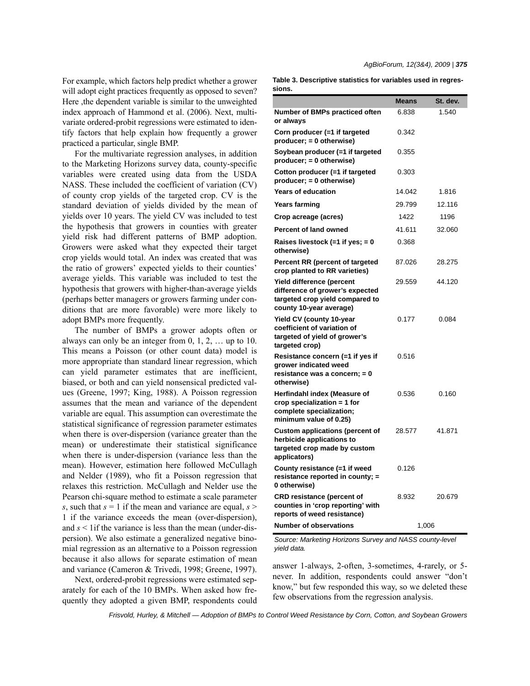For example, which factors help predict whether a grower will adopt eight practices frequently as opposed to seven? Here ,the dependent variable is similar to the unweighted index approach of Hammond et al. (2006). Next, multivariate ordered-probit regressions were estimated to identify factors that help explain how frequently a grower practiced a particular, single BMP.

For the multivariate regression analyses, in addition to the Marketing Horizons survey data, county-specific variables were created using data from the USDA NASS. These included the coefficient of variation (CV) of county crop yields of the targeted crop. CV is the standard deviation of yields divided by the mean of yields over 10 years. The yield CV was included to test the hypothesis that growers in counties with greater yield risk had different patterns of BMP adoption. Growers were asked what they expected their target crop yields would total. An index was created that was the ratio of growers' expected yields to their counties' average yields. This variable was included to test the hypothesis that growers with higher-than-average yields (perhaps better managers or growers farming under conditions that are more favorable) were more likely to adopt BMPs more frequently.

The number of BMPs a grower adopts often or always can only be an integer from 0, 1, 2, … up to 10. This means a Poisson (or other count data) model is more appropriate than standard linear regression, which can yield parameter estimates that are inefficient, biased, or both and can yield nonsensical predicted values (Greene, 1997; King, 1988). A Poisson regression assumes that the mean and variance of the dependent variable are equal. This assumption can overestimate the statistical significance of regression parameter estimates when there is over-dispersion (variance greater than the mean) or underestimate their statistical significance when there is under-dispersion (variance less than the mean). However, estimation here followed McCullagh and Nelder (1989), who fit a Poisson regression that relaxes this restriction. McCullagh and Nelder use the Pearson chi-square method to estimate a scale parameter *s*, such that  $s = 1$  if the mean and variance are equal,  $s >$ 1 if the variance exceeds the mean (over-dispersion), and  $s < 1$  if the variance is less than the mean (under-dispersion). We also estimate a generalized negative binomial regression as an alternative to a Poisson regression because it also allows for separate estimation of mean and variance (Cameron & Trivedi, 1998; Greene, 1997).

Next, ordered-probit regressions were estimated separately for each of the 10 BMPs. When asked how frequently they adopted a given BMP, respondents could *AgBioForum, 12(3&4), 2009 | 375*

**Table 3. Descriptive statistics for variables used in regressions.**

| sions.                                                                                                                     |              |          |  |  |
|----------------------------------------------------------------------------------------------------------------------------|--------------|----------|--|--|
|                                                                                                                            | <b>Means</b> | St. dev. |  |  |
| <b>Number of BMPs practiced often</b><br>or always                                                                         | 6.838        | 1.540    |  |  |
| Corn producer (=1 if targeted<br>producer; = 0 otherwise)                                                                  | 0.342        |          |  |  |
| Soybean producer (=1 if targeted<br>producer; = 0 otherwise)                                                               | 0.355        |          |  |  |
| Cotton producer (=1 if targeted<br>$product$ ; = 0 otherwise)                                                              | 0.303        |          |  |  |
| <b>Years of education</b>                                                                                                  | 14.042       | 1.816    |  |  |
| <b>Years farming</b>                                                                                                       | 29.799       | 12.116   |  |  |
| Crop acreage (acres)                                                                                                       | 1422         | 1196     |  |  |
| <b>Percent of land owned</b>                                                                                               | 41.611       | 32.060   |  |  |
| Raises livestock $(=1$ if yes; = 0<br>otherwise)                                                                           | 0.368        |          |  |  |
| Percent RR (percent of targeted<br>crop planted to RR varieties)                                                           | 87.026       | 28.275   |  |  |
| Yield difference (percent<br>difference of grower's expected<br>targeted crop yield compared to<br>county 10-year average) | 29.559       | 44.120   |  |  |
| Yield CV (county 10-year<br>coefficient of variation of<br>targeted of yield of grower's<br>targeted crop)                 | 0.177        | 0.084    |  |  |
| Resistance concern (=1 if yes if<br>grower indicated weed<br>resistance was a concern; = 0<br>otherwise)                   | 0.516        |          |  |  |
| Herfindahl index (Measure of<br>crop specialization $= 1$ for<br>complete specialization;<br>minimum value of 0.25)        | 0.536        | 0.160    |  |  |
| <b>Custom applications (percent of</b><br>herbicide applications to<br>targeted crop made by custom<br>applicators)        | 28.577       | 41.871   |  |  |
| County resistance (=1 if weed<br>resistance reported in county; =<br>0 otherwise)                                          | 0.126        |          |  |  |
| <b>CRD resistance (percent of</b><br>counties in 'crop reporting' with<br>reports of weed resistance)                      | 8.932        | 20.679   |  |  |
| <b>Number of observations</b>                                                                                              | 1,006        |          |  |  |

*Source: Marketing Horizons Survey and NASS county-level yield data.*

answer 1-always, 2-often, 3-sometimes, 4-rarely, or 5 never. In addition, respondents could answer "don't know," but few responded this way, so we deleted these few observations from the regression analysis.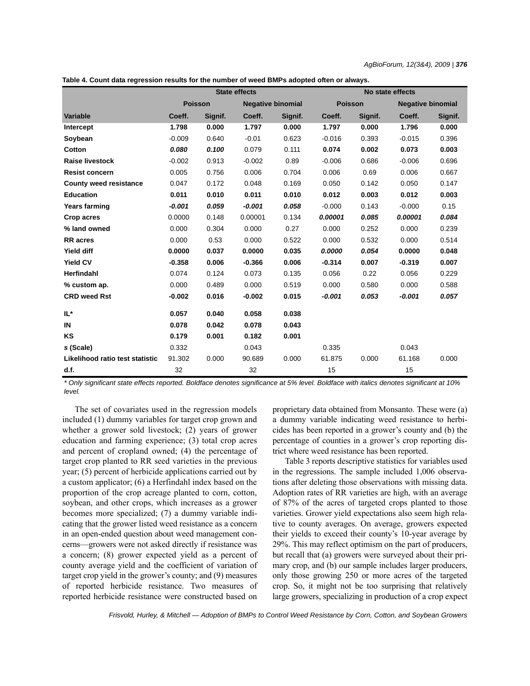**Table 4. Count data regression results for the number of weed BMPs adopted often or always.**

|                                 | <b>State effects</b> |         |                          |         | No state effects |         |                          |         |
|---------------------------------|----------------------|---------|--------------------------|---------|------------------|---------|--------------------------|---------|
|                                 | <b>Poisson</b>       |         | <b>Negative binomial</b> |         | <b>Poisson</b>   |         | <b>Negative binomial</b> |         |
| <b>Variable</b>                 | Coeff.               | Signif. | Coeff.                   | Signif. | Coeff.           | Signif. | Coeff.                   | Signif. |
| <b>Intercept</b>                | 1.798                | 0.000   | 1.797                    | 0.000   | 1.797            | 0.000   | 1.796                    | 0.000   |
| Soybean                         | $-0.009$             | 0.640   | $-0.01$                  | 0.623   | $-0.016$         | 0.393   | $-0.015$                 | 0.396   |
| Cotton                          | 0.080                | 0.100   | 0.079                    | 0.111   | 0.074            | 0.002   | 0.073                    | 0.003   |
| <b>Raise livestock</b>          | $-0.002$             | 0.913   | $-0.002$                 | 0.89    | $-0.006$         | 0.686   | $-0.006$                 | 0.696   |
| <b>Resist concern</b>           | 0.005                | 0.756   | 0.006                    | 0.704   | 0.006            | 0.69    | 0.006                    | 0.667   |
| <b>County weed resistance</b>   | 0.047                | 0.172   | 0.048                    | 0.169   | 0.050            | 0.142   | 0.050                    | 0.147   |
| <b>Education</b>                | 0.011                | 0.010   | 0.011                    | 0.010   | 0.012            | 0.003   | 0.012                    | 0.003   |
| <b>Years farming</b>            | $-0.001$             | 0.059   | $-0.001$                 | 0.058   | $-0.000$         | 0.143   | $-0.000$                 | 0.15    |
| Crop acres                      | 0.0000               | 0.148   | 0.00001                  | 0.134   | 0.00001          | 0.085   | 0.00001                  | 0.084   |
| % land owned                    | 0.000                | 0.304   | 0.000                    | 0.27    | 0.000            | 0.252   | 0.000                    | 0.239   |
| <b>RR</b> acres                 | 0.000                | 0.53    | 0.000                    | 0.522   | 0.000            | 0.532   | 0.000                    | 0.514   |
| Yield diff                      | 0.0000               | 0.037   | 0.0000                   | 0.035   | 0.0000           | 0.054   | 0.0000                   | 0.048   |
| <b>Yield CV</b>                 | $-0.358$             | 0.006   | $-0.366$                 | 0.006   | $-0.314$         | 0.007   | $-0.319$                 | 0.007   |
| Herfindahl                      | 0.074                | 0.124   | 0.073                    | 0.135   | 0.056            | 0.22    | 0.056                    | 0.229   |
| % custom ap.                    | 0.000                | 0.489   | 0.000                    | 0.519   | 0.000            | 0.580   | 0.000                    | 0.588   |
| <b>CRD weed Rst</b>             | $-0.002$             | 0.016   | $-0.002$                 | 0.015   | $-0.001$         | 0.053   | $-0.001$                 | 0.057   |
| IL*                             | 0.057                | 0.040   | 0.058                    | 0.038   |                  |         |                          |         |
| IN                              | 0.078                | 0.042   | 0.078                    | 0.043   |                  |         |                          |         |
| KS                              | 0.179                | 0.001   | 0.182                    | 0.001   |                  |         |                          |         |
| s (Scale)                       | 0.332                |         | 0.043                    |         | 0.335            |         | 0.043                    |         |
| Likelihood ratio test statistic | 91.302               | 0.000   | 90.689                   | 0.000   | 61.875           | 0.000   | 61.168                   | 0.000   |
| d.f.                            | 32                   |         | 32                       |         | 15               |         | 15                       |         |

*\* Only significant state effects reported. Boldface denotes significance at 5% level. Boldface with italics denotes significant at 10% level.*

The set of covariates used in the regression models included (1) dummy variables for target crop grown and whether a grower sold livestock; (2) years of grower education and farming experience; (3) total crop acres and percent of cropland owned; (4) the percentage of target crop planted to RR seed varieties in the previous year; (5) percent of herbicide applications carried out by a custom applicator; (6) a Herfindahl index based on the proportion of the crop acreage planted to corn, cotton, soybean, and other crops, which increases as a grower becomes more specialized; (7) a dummy variable indicating that the grower listed weed resistance as a concern in an open-ended question about weed management concerns—growers were not asked directly if resistance was a concern; (8) grower expected yield as a percent of county average yield and the coefficient of variation of target crop yield in the grower's county; and (9) measures of reported herbicide resistance. Two measures of reported herbicide resistance were constructed based on

proprietary data obtained from Monsanto. These were (a) a dummy variable indicating weed resistance to herbicides has been reported in a grower's county and (b) the percentage of counties in a grower's crop reporting district where weed resistance has been reported.

Table 3 reports descriptive statistics for variables used in the regressions. The sample included 1,006 observations after deleting those observations with missing data. Adoption rates of RR varieties are high, with an average of 87% of the acres of targeted crops planted to those varieties. Grower yield expectations also seem high relative to county averages. On average, growers expected their yields to exceed their county's 10-year average by 29%. This may reflect optimism on the part of producers, but recall that (a) growers were surveyed about their primary crop, and (b) our sample includes larger producers, only those growing 250 or more acres of the targeted crop. So, it might not be too surprising that relatively large growers, specializing in production of a crop expect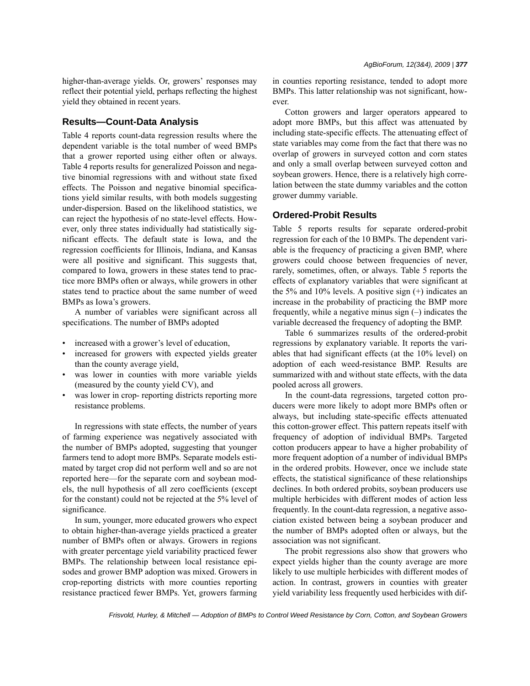higher-than-average yields. Or, growers' responses may reflect their potential yield, perhaps reflecting the highest yield they obtained in recent years.

### **Results—Count-Data Analysis**

Table 4 reports count-data regression results where the dependent variable is the total number of weed BMPs that a grower reported using either often or always. Table 4 reports results for generalized Poisson and negative binomial regressions with and without state fixed effects. The Poisson and negative binomial specifications yield similar results, with both models suggesting under-dispersion. Based on the likelihood statistics, we can reject the hypothesis of no state-level effects. However, only three states individually had statistically significant effects. The default state is Iowa, and the regression coefficients for Illinois, Indiana, and Kansas were all positive and significant. This suggests that, compared to Iowa, growers in these states tend to practice more BMPs often or always, while growers in other states tend to practice about the same number of weed BMPs as Iowa's growers.

A number of variables were significant across all specifications. The number of BMPs adopted

- increased with a grower's level of education,
- increased for growers with expected yields greater than the county average yield,
- was lower in counties with more variable yields (measured by the county yield CV), and
- was lower in crop- reporting districts reporting more resistance problems.

In regressions with state effects, the number of years of farming experience was negatively associated with the number of BMPs adopted, suggesting that younger farmers tend to adopt more BMPs. Separate models estimated by target crop did not perform well and so are not reported here—for the separate corn and soybean models, the null hypothesis of all zero coefficients (except for the constant) could not be rejected at the 5% level of significance.

In sum, younger, more educated growers who expect to obtain higher-than-average yields practiced a greater number of BMPs often or always. Growers in regions with greater percentage yield variability practiced fewer BMPs. The relationship between local resistance episodes and grower BMP adoption was mixed. Growers in crop-reporting districts with more counties reporting resistance practiced fewer BMPs. Yet, growers farming in counties reporting resistance, tended to adopt more BMPs. This latter relationship was not significant, however.

Cotton growers and larger operators appeared to adopt more BMPs, but this affect was attenuated by including state-specific effects. The attenuating effect of state variables may come from the fact that there was no overlap of growers in surveyed cotton and corn states and only a small overlap between surveyed cotton and soybean growers. Hence, there is a relatively high correlation between the state dummy variables and the cotton grower dummy variable.

### **Ordered-Probit Results**

Table 5 reports results for separate ordered-probit regression for each of the 10 BMPs. The dependent variable is the frequency of practicing a given BMP, where growers could choose between frequencies of never, rarely, sometimes, often, or always. Table 5 reports the effects of explanatory variables that were significant at the 5% and 10% levels. A positive sign (+) indicates an increase in the probability of practicing the BMP more frequently, while a negative minus sign  $(-)$  indicates the variable decreased the frequency of adopting the BMP.

Table 6 summarizes results of the ordered-probit regressions by explanatory variable. It reports the variables that had significant effects (at the 10% level) on adoption of each weed-resistance BMP. Results are summarized with and without state effects, with the data pooled across all growers.

In the count-data regressions, targeted cotton producers were more likely to adopt more BMPs often or always, but including state-specific effects attenuated this cotton-grower effect. This pattern repeats itself with frequency of adoption of individual BMPs. Targeted cotton producers appear to have a higher probability of more frequent adoption of a number of individual BMPs in the ordered probits. However, once we include state effects, the statistical significance of these relationships declines. In both ordered probits, soybean producers use multiple herbicides with different modes of action less frequently. In the count-data regression, a negative association existed between being a soybean producer and the number of BMPs adopted often or always, but the association was not significant.

The probit regressions also show that growers who expect yields higher than the county average are more likely to use multiple herbicides with different modes of action. In contrast, growers in counties with greater yield variability less frequently used herbicides with dif-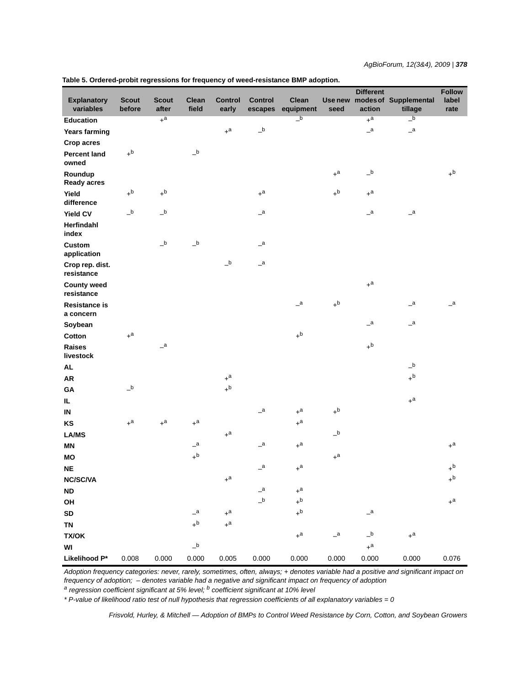*AgBioForum, 12(3&4), 2009 | 378*

|                                   |                                        |                            |                            |                                        |                            |                           |                  | <b>Different</b>           |                                  | <b>Follow</b>    |
|-----------------------------------|----------------------------------------|----------------------------|----------------------------|----------------------------------------|----------------------------|---------------------------|------------------|----------------------------|----------------------------------|------------------|
| <b>Explanatory</b><br>variables   | <b>Scout</b><br>before                 | <b>Scout</b><br>after      | <b>Clean</b><br>field      | <b>Control</b><br>early                | <b>Control</b><br>escapes  | Clean<br>equipment        | Use new<br>seed  | action                     | modes of Supplemental<br>tillage | label<br>rate    |
| <b>Education</b>                  |                                        | $+$ a                      |                            |                                        |                            | $\overline{\phantom{a}}$  |                  | $+$ <sup>a</sup>           | $\overline{\phantom{a}}$         |                  |
| <b>Years farming</b>              |                                        |                            |                            | $+$ a                                  | $\mathsf{-}^\mathtt{b}$    |                           |                  | $\mathsf{a}$               | $\overline{\phantom{a}}$         |                  |
| Crop acres                        |                                        |                            |                            |                                        |                            |                           |                  |                            |                                  |                  |
| <b>Percent land</b><br>owned      | $+^b$                                  |                            | $\_b$                      |                                        |                            |                           |                  |                            |                                  |                  |
| Roundup<br><b>Ready acres</b>     |                                        |                            |                            |                                        |                            |                           | $+$ a            | $\mathsf{-}^\mathsf{b}$    |                                  | $+^{\mathsf{b}}$ |
| Yield<br>difference               | $+^{\mathsf{b}}$                       | $+^{\mathsf{b}}$           |                            |                                        | $\texttt{+}^{\texttt{a}}$  |                           | $+^{\mathsf{b}}$ | $\texttt{+}^{\texttt{a}}$  |                                  |                  |
| Yield CV                          | $\overline{\phantom{a}}^{\phantom{a}}$ | $\_b$                      |                            |                                        | $\mathsf{a}$               |                           |                  | $\overline{\phantom{a}}$   | $\overline{\phantom{a}}$         |                  |
| Herfindahl<br>index               |                                        |                            |                            |                                        |                            |                           |                  |                            |                                  |                  |
| <b>Custom</b><br>application      |                                        | $\_b$                      | $\mathsf{L}^{\mathsf{b}}$  |                                        | $\mathsf{a}$               |                           |                  |                            |                                  |                  |
| Crop rep. dist.<br>resistance     |                                        |                            |                            | $\overline{\phantom{a}}^{\phantom{a}}$ | $\mathsf{a}$               |                           |                  |                            |                                  |                  |
| <b>County weed</b><br>resistance  |                                        |                            |                            |                                        |                            |                           |                  | $+$ a                      |                                  |                  |
| <b>Resistance is</b><br>a concern |                                        |                            |                            |                                        |                            | $\mathsf{=}^{\mathsf{a}}$ | $+^{\mathsf{b}}$ |                            | $\mathsf{a}$                     | $\mathsf{a}$     |
| Soybean                           |                                        |                            |                            |                                        |                            |                           |                  | $\overline{\phantom{a}}^a$ | $\overline{\phantom{a}}^a$       |                  |
| Cotton                            | $+$ a                                  |                            |                            |                                        |                            | $+^b$                     |                  |                            |                                  |                  |
| <b>Raises</b><br>livestock        |                                        | $\overline{\phantom{a}}^a$ |                            |                                        |                            |                           |                  | $+^{\mathsf{b}}$           |                                  |                  |
| <b>AL</b>                         |                                        |                            |                            |                                        |                            |                           |                  |                            | $\_b$                            |                  |
| AR                                |                                        |                            |                            | $+$ a                                  |                            |                           |                  |                            | $+^{\mathsf{b}}$                 |                  |
| GA                                | $\_b$                                  |                            |                            | $+^{\mathsf{b}}$                       |                            |                           |                  |                            |                                  |                  |
| IL.                               |                                        |                            |                            |                                        |                            |                           |                  |                            | $\texttt{+}^{\texttt{a}}$        |                  |
| IN                                |                                        |                            |                            |                                        | $\overline{\phantom{a}}$   | $+$ <sup>a</sup>          | $+^{\mathsf{b}}$ |                            |                                  |                  |
| KS                                | $+$ a                                  | $\texttt{+}^{\texttt{a}}$  | $+$ a                      |                                        |                            | $+$ <sup>a</sup>          |                  |                            |                                  |                  |
| <b>LA/MS</b>                      |                                        |                            |                            | $+a$                                   |                            |                           | $\_b$            |                            |                                  |                  |
| <b>MN</b>                         |                                        |                            | $\overline{\phantom{a}}^a$ |                                        | $\overline{\phantom{a}}^a$ | $+$ <sup>a</sup>          |                  |                            |                                  | $+$ <sup>a</sup> |
| <b>MO</b>                         |                                        |                            | $+^{\mathsf{b}}$           |                                        |                            |                           | $+$ a            |                            |                                  |                  |
| <b>NE</b>                         |                                        |                            |                            |                                        | $\mathsf{a}$               | $+$ <sup>a</sup>          |                  |                            |                                  | $+^{\rm b}$      |
| <b>NC/SC/VA</b>                   |                                        |                            |                            | $+$ <sup>a</sup>                       |                            |                           |                  |                            |                                  | $+^{\mathsf{b}}$ |
| <b>ND</b>                         |                                        |                            |                            |                                        | $\mathsf{-}^a$             | $+$ <sup>a</sup>          |                  |                            |                                  |                  |
| OH                                |                                        |                            |                            |                                        | $\_b$                      | $+^b$                     |                  |                            |                                  | $+$ <sup>a</sup> |
| ${\sf SD}$                        |                                        |                            | $\overline{\phantom{a}}^a$ | $+$ a                                  |                            | $+^b$                     |                  | $\mathsf{=}^\mathsf{a}$    |                                  |                  |
| <b>TN</b>                         |                                        |                            | $+^{\mathsf{b}}$           | $+$ <sup>a</sup>                       |                            |                           |                  |                            |                                  |                  |
| <b>TX/OK</b>                      |                                        |                            |                            |                                        |                            | $+a$                      | $\mathsf{a}$     | $\mathsf{-b}$              | $+a$                             |                  |
| WI                                |                                        |                            | $\mathsf{-b}$              |                                        |                            |                           |                  | $+$ a                      |                                  |                  |
| Likelihood P*                     | 0.008                                  | 0.000                      | 0.000                      | 0.005                                  | 0.000                      | 0.000                     | 0.000            | 0.000                      | 0.000                            | 0.076            |

**Table 5. Ordered-probit regressions for frequency of weed-resistance BMP adoption.**

*Adoption frequency categories: never, rarely, sometimes, often, always; + denotes variable had a positive and significant impact on frequency of adoption;* – *denotes variable had a negative and significant impact on frequency of adoption*

*a regression coefficient significant at 5% level; b coefficient significant at 10% level*

*\* P-value of likelihood ratio test of null hypothesis that regression coefficients of all explanatory variables = 0*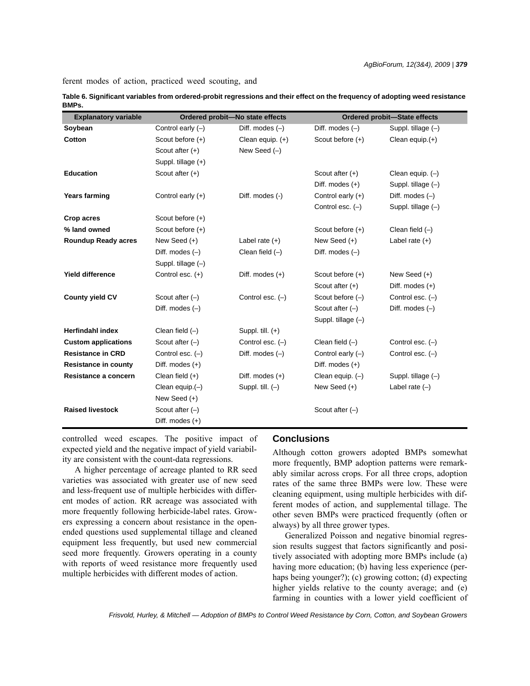ferent modes of action, practiced weed scouting, and

| Table 6. Significant variables from ordered-probit regressions and their effect on the frequency of adopting weed resistance |  |
|------------------------------------------------------------------------------------------------------------------------------|--|
| BMPs.                                                                                                                        |  |

| <b>Explanatory variable</b> | Ordered probit-No state effects |                    | <b>Ordered probit-State effects</b> |                      |  |
|-----------------------------|---------------------------------|--------------------|-------------------------------------|----------------------|--|
| Soybean                     | Control early $(-)$             | Diff. modes $(-)$  | Diff. modes $(-)$                   | Suppl. tillage $(-)$ |  |
| Cotton                      | Scout before $(+)$              | Clean equip. $(+)$ | Scout before (+)                    | Clean equip.(+)      |  |
|                             | Scout after $(+)$               | New Seed $(-)$     |                                     |                      |  |
|                             | Suppl. tillage (+)              |                    |                                     |                      |  |
| <b>Education</b>            | Scout after $(+)$               |                    | Scout after $(+)$                   | Clean equip. $(-)$   |  |
|                             |                                 |                    | Diff. modes $(+)$                   | Suppl. tillage (-)   |  |
| <b>Years farming</b>        | Control early $(+)$             | Diff. modes (-)    | Control early $(+)$                 | Diff. modes $(-)$    |  |
|                             |                                 |                    | Control esc. $(-)$                  | Suppl. tillage $(-)$ |  |
| Crop acres                  | Scout before $(+)$              |                    |                                     |                      |  |
| % land owned                | Scout before $(+)$              |                    | Scout before (+)                    | Clean field $(-)$    |  |
| <b>Roundup Ready acres</b>  | New Seed (+)                    | Label rate $(+)$   | New Seed (+)                        | Label rate $(+)$     |  |
|                             | Diff. modes $(-)$               | Clean field $(-)$  | Diff. modes $(-)$                   |                      |  |
|                             | Suppl. tillage (-)              |                    |                                     |                      |  |
| <b>Yield difference</b>     | Control esc. (+)                | Diff. modes $(+)$  | Scout before (+)                    | New Seed $(+)$       |  |
|                             |                                 |                    | Scout after $(+)$                   | Diff. modes $(+)$    |  |
| <b>County yield CV</b>      | Scout after $(-)$               | Control esc. $(-)$ | Scout before $(-)$                  | Control esc. $(-)$   |  |
|                             | Diff. modes $(-)$               |                    | Scout after $(-)$                   | Diff. modes $(-)$    |  |
|                             |                                 |                    | Suppl. tillage $(-)$                |                      |  |
| <b>Herfindahl index</b>     | Clean field $(-)$               | Suppl. till. $(+)$ |                                     |                      |  |
| <b>Custom applications</b>  | Scout after $(-)$               | Control esc. $(-)$ | Clean field $(-)$                   | Control esc. $(-)$   |  |
| <b>Resistance in CRD</b>    | Control esc. $(-)$              | Diff. modes $(-)$  | Control early $(-)$                 | Control esc. $(-)$   |  |
| <b>Resistance in county</b> | Diff. modes $(+)$               |                    | Diff. modes $(+)$                   |                      |  |
| Resistance a concern        | Clean field $(+)$               | Diff. modes $(+)$  | Clean equip. $(-)$                  | Suppl. tillage $(-)$ |  |
|                             | Clean equip. $(-)$              | Suppl. till. $(-)$ | New Seed $(+)$                      | Label rate $(-)$     |  |
|                             | New Seed (+)                    |                    |                                     |                      |  |
| <b>Raised livestock</b>     | Scout after $(-)$               |                    | Scout after $(-)$                   |                      |  |
|                             | Diff. modes $(+)$               |                    |                                     |                      |  |

controlled weed escapes. The positive impact of expected yield and the negative impact of yield variability are consistent with the count-data regressions.

## **Conclusions**

A higher percentage of acreage planted to RR seed varieties was associated with greater use of new seed and less-frequent use of multiple herbicides with different modes of action. RR acreage was associated with more frequently following herbicide-label rates. Growers expressing a concern about resistance in the openended questions used supplemental tillage and cleaned equipment less frequently, but used new commercial seed more frequently. Growers operating in a county with reports of weed resistance more frequently used multiple herbicides with different modes of action.

Although cotton growers adopted BMPs somewhat more frequently, BMP adoption patterns were remarkably similar across crops. For all three crops, adoption rates of the same three BMPs were low. These were cleaning equipment, using multiple herbicides with different modes of action, and supplemental tillage. The other seven BMPs were practiced frequently (often or always) by all three grower types.

Generalized Poisson and negative binomial regression results suggest that factors significantly and positively associated with adopting more BMPs include (a) having more education; (b) having less experience (perhaps being younger?); (c) growing cotton; (d) expecting higher yields relative to the county average; and (e) farming in counties with a lower yield coefficient of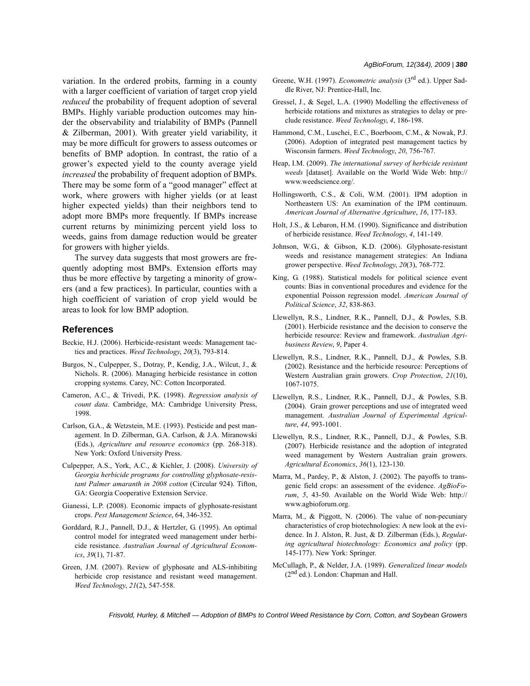variation. In the ordered probits, farming in a county with a larger coefficient of variation of target crop yield *reduced* the probability of frequent adoption of several BMPs. Highly variable production outcomes may hinder the observability and trialability of BMPs (Pannell & Zilberman, 2001). With greater yield variability, it may be more difficult for growers to assess outcomes or benefits of BMP adoption. In contrast, the ratio of a grower's expected yield to the county average yield *increased* the probability of frequent adoption of BMPs. There may be some form of a "good manager" effect at work, where growers with higher yields (or at least higher expected yields) than their neighbors tend to adopt more BMPs more frequently. If BMPs increase current returns by minimizing percent yield loss to weeds, gains from damage reduction would be greater for growers with higher yields.

The survey data suggests that most growers are frequently adopting most BMPs. Extension efforts may thus be more effective by targeting a minority of growers (and a few practices). In particular, counties with a high coefficient of variation of crop yield would be areas to look for low BMP adoption.

#### **References**

- Beckie, H.J. (2006). Herbicide-resistant weeds: Management tactics and practices. *Weed Technology*, *20*(3), 793-814.
- Burgos, N., Culpepper, S., Dotray, P., Kendig, J.A., Wilcut, J., & Nichols. R. (2006). Managing herbicide resistance in cotton cropping systems. Carey, NC: Cotton Incorporated.
- Cameron, A.C., & Trivedi, P.K. (1998). *Regression analysis of count data*. Cambridge, MA: Cambridge University Press, 1998.
- Carlson, G.A., & Wetzstein, M.E. (1993). Pesticide and pest management. In D. Zilberman, G.A. Carlson, & J.A. Miranowski (Eds.), *Agriculture and resource economics* (pp. 268-318). New York: Oxford University Press.
- Culpepper, A.S., York, A.C., & Kichler, J. (2008). *University of Georgia herbicide programs for controlling glyphosate-resistant Palmer amaranth in 2008 cotton* (Circular 924). Tifton, GA: Georgia Cooperative Extension Service.
- Gianessi, L.P. (2008). Economic impacts of glyphosate-resistant crops. *Pest Management Science*, 64, 346-352.
- Gorddard, R.J., Pannell, D.J., & Hertzler, G. (1995). An optimal control model for integrated weed management under herbicide resistance. *Australian Journal of Agricultural Economics*, *39*(1), 71-87.
- Green, J.M. (2007). Review of glyphosate and ALS-inhibiting herbicide crop resistance and resistant weed management. *Weed Technology*, *21*(2), 547-558.
- Greene, W.H. (1997). *Econometric analysis* (3rd ed.). Upper Saddle River, NJ: Prentice-Hall, Inc.
- Gressel, J., & Segel, L.A. (1990) Modelling the effectiveness of herbicide rotations and mixtures as strategies to delay or preclude resistance. *Weed Technology*, *4*, 186-198.
- Hammond, C.M., Luschei, E.C., Boerboom, C.M., & Nowak, P.J. (2006). Adoption of integrated pest management tactics by Wisconsin farmers. *Weed Technology*, *20*, 756-767.
- Heap, I.M. (2009). *The international survey of herbicide resistant weeds* [dataset]. Available on the World Wide Web: http:// www.weedscience.org/.
- Hollingsworth, C.S., & Coli, W.M. (2001). IPM adoption in Northeastern US: An examination of the IPM continuum. *American Journal of Alternative Agriculture*, *16*, 177-183.
- Holt, J.S., & Lebaron, H.M. (1990). Significance and distribution of herbicide resistance. *Weed Technology*, *4*, 141-149.
- Johnson, W.G., & Gibson, K.D. (2006). Glyphosate-resistant weeds and resistance management strategies: An Indiana grower perspective. *Weed Technology*, *20*(3), 768-772.
- King, G. (1988). Statistical models for political science event counts: Bias in conventional procedures and evidence for the exponential Poisson regression model. *American Journal of Political Science*, *32*, 838-863.
- Llewellyn, R.S., Lindner, R.K., Pannell, D.J., & Powles, S.B. (2001). Herbicide resistance and the decision to conserve the herbicide resource: Review and framework. *Australian Agribusiness Review*, *9*, Paper 4.
- Llewellyn, R.S., Lindner, R.K., Pannell, D.J., & Powles, S.B. (2002). Resistance and the herbicide resource: Perceptions of Western Australian grain growers. *Crop Protection*, *21*(10), 1067-1075.
- Llewellyn, R.S., Lindner, R.K., Pannell, D.J., & Powles, S.B. (2004). Grain grower perceptions and use of integrated weed management. *Australian Journal of Experimental Agriculture*, *44*, 993-1001.
- Llewellyn, R.S., Lindner, R.K., Pannell, D.J., & Powles, S.B. (2007). Herbicide resistance and the adoption of integrated weed management by Western Australian grain growers. *Agricultural Economics*, *36*(1), 123-130.
- Marra, M., Pardey, P., & Alston, J. (2002). The payoffs to transgenic field crops: an assessment of the evidence. *AgBioForum*, *5*, 43-50. Available on the World Wide Web: http:// www.agbioforum.org.
- Marra, M., & Piggott, N. (2006). The value of non-pecuniary characteristics of crop biotechnologies: A new look at the evidence. In J. Alston, R. Just, & D. Zilberman (Eds.), *Regulating agricultural biotechnology: Economics and policy* (pp. 145-177). New York: Springer.
- McCullagh, P., & Nelder, J.A. (1989). *Generalized linear models*  $(2^{nd}$  ed.). London: Chapman and Hall.